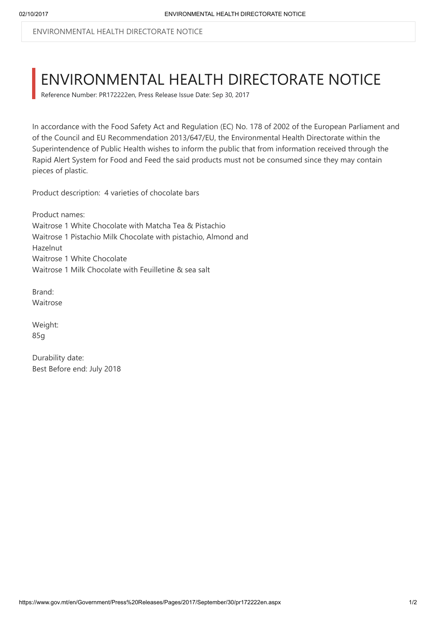ENVIRONMENTAL HEALTH DIRECTORATE NOTICE

## ENVIRONMENTAL HEALTH DIRECTORATE NOTICE

Reference Number: PR172222en, Press Release Issue Date: Sep 30, 2017

In accordance with the Food Safety Act and Regulation (EC) No. 178 of 2002 of the European Parliament and of the Council and EU Recommendation 2013/647/EU, the Environmental Health Directorate within the Superintendence of Public Health wishes to inform the public that from information received through the Rapid Alert System for Food and Feed the said products must not be consumed since they may contain pieces of plastic.

Product description: 4 varieties of chocolate bars

Product names: Waitrose 1 White Chocolate with Matcha Tea & Pistachio Waitrose 1 Pistachio Milk Chocolate with pistachio, Almond and Hazelnut Waitrose 1 White Chocolate Waitrose 1 Milk Chocolate with Feuilletine & sea salt

Brand: Waitrose

Weight: 85g

Durability date: Best Before end: July 2018